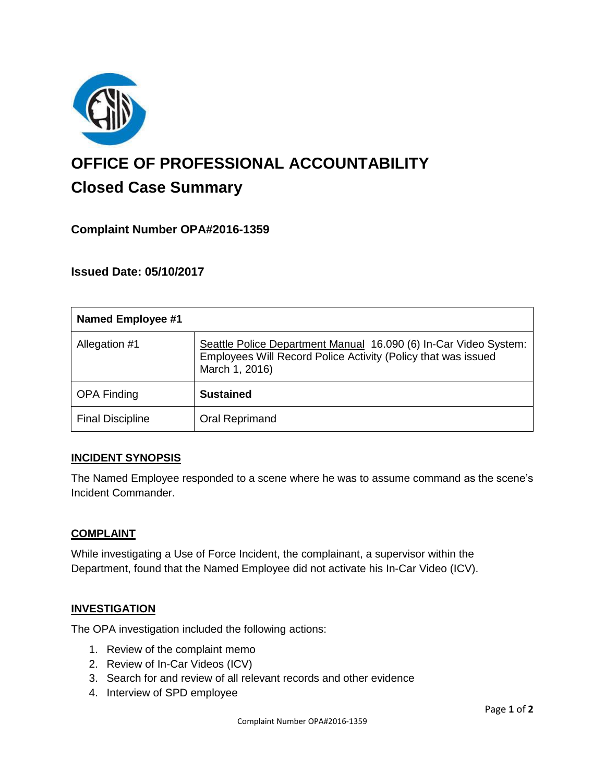

# **OFFICE OF PROFESSIONAL ACCOUNTABILITY Closed Case Summary**

# **Complaint Number OPA#2016-1359**

**Issued Date: 05/10/2017**

| <b>Named Employee #1</b> |                                                                                                                                                     |
|--------------------------|-----------------------------------------------------------------------------------------------------------------------------------------------------|
| Allegation #1            | Seattle Police Department Manual 16.090 (6) In-Car Video System:<br>Employees Will Record Police Activity (Policy that was issued<br>March 1, 2016) |
| <b>OPA Finding</b>       | <b>Sustained</b>                                                                                                                                    |
| <b>Final Discipline</b>  | Oral Reprimand                                                                                                                                      |

#### **INCIDENT SYNOPSIS**

The Named Employee responded to a scene where he was to assume command as the scene's Incident Commander.

#### **COMPLAINT**

While investigating a Use of Force Incident, the complainant, a supervisor within the Department, found that the Named Employee did not activate his In-Car Video (ICV).

#### **INVESTIGATION**

The OPA investigation included the following actions:

- 1. Review of the complaint memo
- 2. Review of In-Car Videos (ICV)
- 3. Search for and review of all relevant records and other evidence
- 4. Interview of SPD employee